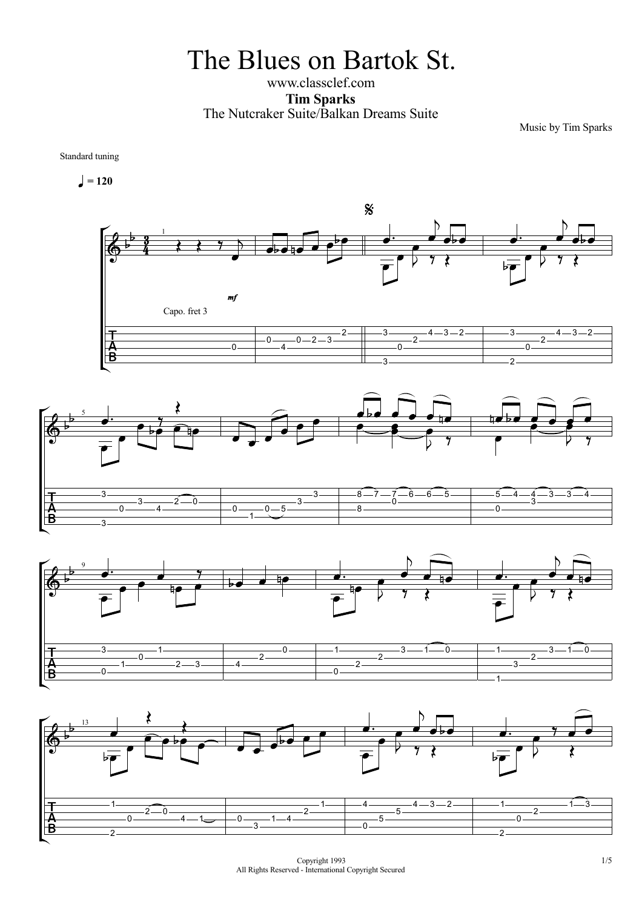## The Blues on Bartok St. www.classclef.com

## **Tim Sparks** The Nutcraker Suite/Balkan Dreams Suite

Music by Tim Sparks

Standard tuning

 $= 120$  $\boldsymbol{\%}$  ₹  $mf$ Capo. fret 3  $4 - 3 - 2$ 2  $-1$  3  $-$  4  $-3$   $-2$   $-$  3  $-$  4  $-3$   $0 \longrightarrow 0 - 2 - 3 \longrightarrow 1$ 2 —————— 2 —  $\qquad$   $\qquad$   $\qquad$   $\qquad$   $\qquad$   $\qquad$   $\qquad$   $\qquad$   $\qquad$   $\qquad$   $\qquad$   $\qquad$   $\qquad$   $\qquad$   $\qquad$   $\qquad$   $\qquad$   $\qquad$   $\qquad$   $\qquad$   $\qquad$   $\qquad$   $\qquad$   $\qquad$   $\qquad$   $\qquad$   $\qquad$   $\qquad$   $\qquad$   $\qquad$   $\qquad$   $\qquad$   $\qquad$   $\qquad$   $\qquad$   $\qquad$  **A**<br>B  $0 \longrightarrow -4 \longrightarrow$   $\begin{array}{c} \hline \rule{0mm}{2mm} \rule[0mm]{0mm}{2mm} \rule[0mm]{0mm}{2mm} \rule[0mm]{0mm}{2mm} \rule[0mm]{0mm}{2mm} \rule[0mm]{0mm}{2mm} \rule[0mm]{0mm}{2mm} \rule[0mm]{0mm}{2mm} \rule[0mm]{0mm}{2mm} \rule[0mm]{0mm}{2mm} \rule[0mm]{0mm}{2mm} \rule[0mm]{0mm}{2mm} \rule[0mm]{0mm}{2mm} \rule[0mm]{0mm}{2mm} \rule[0mm]{0mm}{2mm} \rule[0mm]{0mm}{2mm} \rule[0mm]{0mm}{2mm} \rule[0mm]{0mm}{$  $\begin{array}{c} \hline \rule{0mm}{2mm} \rule[0mm]{0mm}{2mm} \rule[0mm]{0mm}{2mm} \rule[0mm]{0mm}{2mm} \rule[0mm]{0mm}{2mm} \rule[0mm]{0mm}{2mm} \rule[0mm]{0mm}{2mm} \rule[0mm]{0mm}{2mm} \rule[0mm]{0mm}{2mm} \rule[0mm]{0mm}{2mm} \rule[0mm]{0mm}{2mm} \rule[0mm]{0mm}{2mm} \rule[0mm]{0mm}{2mm} \rule[0mm]{0mm}{2mm} \rule[0mm]{0mm}{2mm} \rule[0mm]{0mm}{2mm} \rule[0mm]{0mm}{2mm} \rule[0mm]{0mm}{$  







Copyright 1993 1/5 All Rights Reserved - International Copyright Secured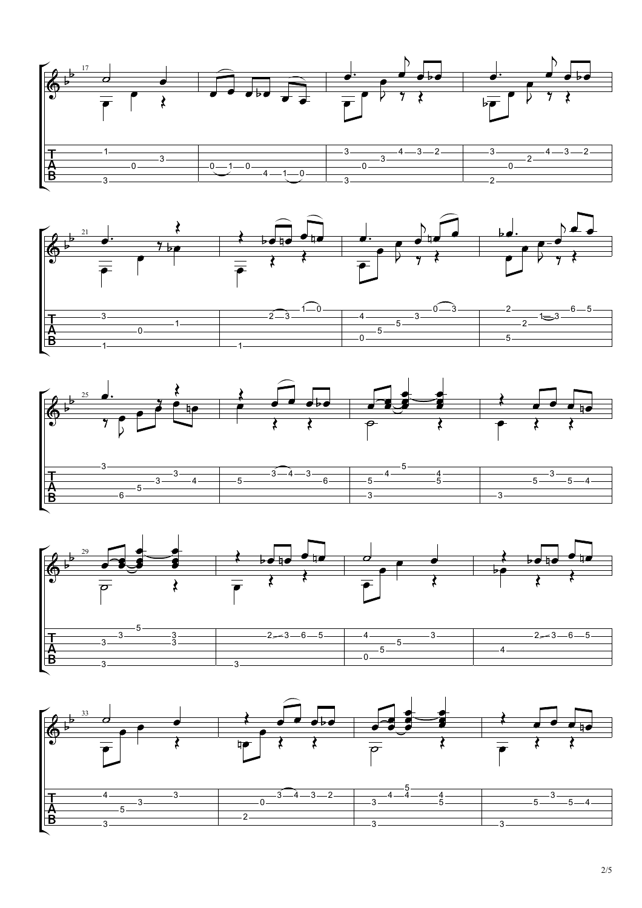







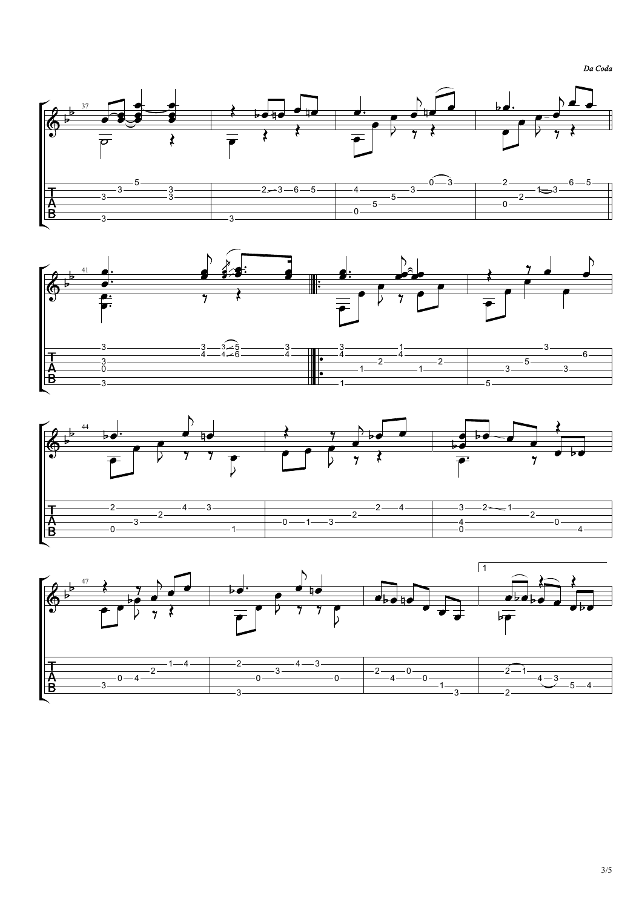Da Codo







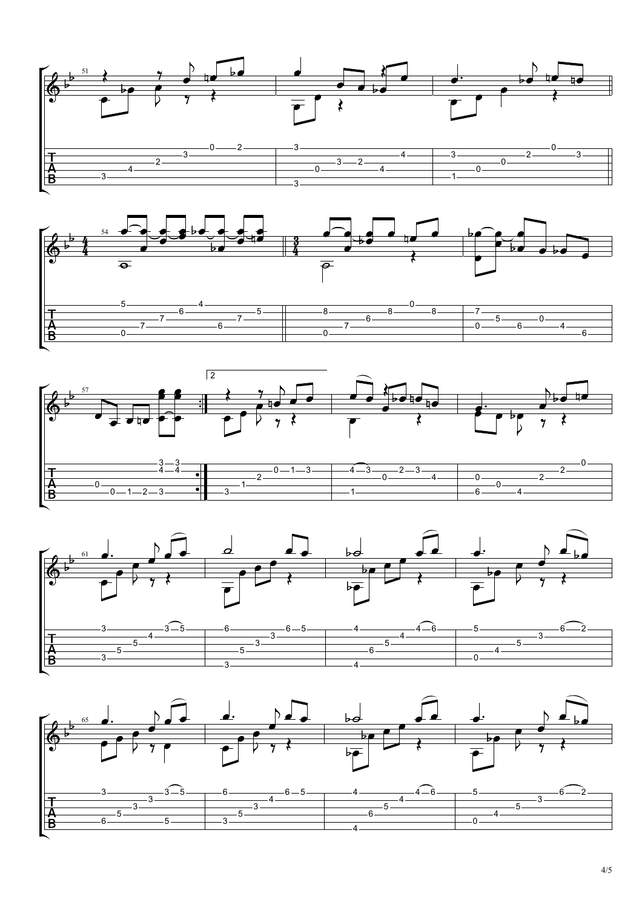